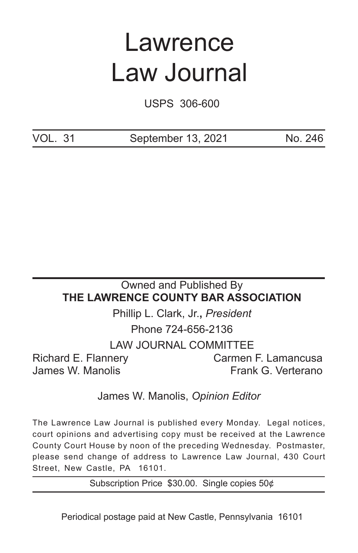# Lawrence Law Journal

USPS 306-600

VOL. 31 September 13, 2021 No. 246

# Owned and Published By **THE LAWRENCE COUNTY BAR ASSOCIATION** Phillip L. Clark, Jr.**,** *President* Phone 724-656-2136

LAW JOURNAL COMMITTEE

Richard E. Flannery Carmen F. Lamancusa

James W. Manolis **Frank G. Verterano** 

# James W. Manolis, *Opinion Editor*

The Lawrence Law Journal is published every Monday. Legal notices, court opinions and advertising copy must be received at the Lawrence County Court House by noon of the preceding Wednesday. Postmaster, please send change of address to Lawrence Law Journal, 430 Court Street, New Castle, PA 16101.

Subscription Price \$30.00. Single copies 50¢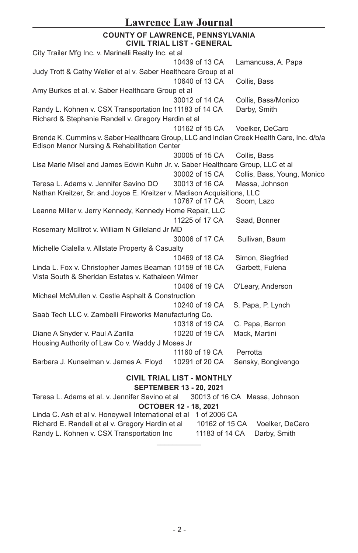# **Lawrence Law Journal**

#### **COUNTY OF LAWRENCE, PENNSYLVANIA CIVIL TRIAL LIST - GENERAL**

|                                                                                                                                           | UIVIL INIAL LIJI - UENENAL |                               |  |
|-------------------------------------------------------------------------------------------------------------------------------------------|----------------------------|-------------------------------|--|
| City Trailer Mfg Inc. v. Marinelli Realty Inc. et al                                                                                      |                            |                               |  |
|                                                                                                                                           | 10439 of 13 CA             | Lamancusa, A. Papa            |  |
| Judy Trott & Cathy Weller et al v. Saber Healthcare Group et al                                                                           |                            |                               |  |
|                                                                                                                                           | 10640 of 13 CA             | Collis, Bass                  |  |
| Amy Burkes et al. v. Saber Healthcare Group et al                                                                                         |                            |                               |  |
|                                                                                                                                           | 30012 of 14 CA             | Collis, Bass/Monico           |  |
| Randy L. Kohnen v. CSX Transportation Inc 11183 of 14 CA                                                                                  |                            | Darby, Smith                  |  |
| Richard & Stephanie Randell v. Gregory Hardin et al                                                                                       |                            |                               |  |
|                                                                                                                                           | 10162 of 15 CA             | Voelker, DeCaro               |  |
| Brenda K. Cummins v. Saber Healthcare Group, LLC and Indian Creek Health Care, Inc. d/b/a<br>Edison Manor Nursing & Rehabilitation Center |                            |                               |  |
|                                                                                                                                           | 30005 of 15 CA             | Collis, Bass                  |  |
| Lisa Marie Misel and James Edwin Kuhn Jr. v. Saber Healthcare Group, LLC et al                                                            |                            |                               |  |
|                                                                                                                                           | 30002 of 15 CA             | Collis, Bass, Young, Monico   |  |
| Teresa L. Adams v. Jennifer Savino DO                                                                                                     | 30013 of 16 CA             | Massa, Johnson                |  |
| Nathan Kreitzer, Sr. and Joyce E. Kreitzer v. Madison Acquisitions, LLC                                                                   |                            |                               |  |
|                                                                                                                                           | 10767 of 17 CA             | Soom, Lazo                    |  |
| Leanne Miller v. Jerry Kennedy, Kennedy Home Repair, LLC                                                                                  |                            |                               |  |
|                                                                                                                                           | 11225 of 17 CA             | Saad, Bonner                  |  |
| Rosemary McIltrot v. William N Gilleland Jr MD                                                                                            |                            |                               |  |
|                                                                                                                                           | 30006 of 17 CA             | Sullivan, Baum                |  |
| Michelle Cialella v. Allstate Property & Casualty                                                                                         |                            |                               |  |
|                                                                                                                                           | 10469 of 18 CA             | Simon, Siegfried              |  |
| Linda L. Fox v. Christopher James Beaman 10159 of 18 CA<br>Vista South & Sheridan Estates v. Kathaleen Wimer                              |                            | Garbett, Fulena               |  |
|                                                                                                                                           | 10406 of 19 CA             | O'Leary, Anderson             |  |
| Michael McMullen v. Castle Asphalt & Construction                                                                                         |                            |                               |  |
|                                                                                                                                           | 10240 of 19 CA             | S. Papa, P. Lynch             |  |
| Saab Tech LLC v. Zambelli Fireworks Manufacturing Co.                                                                                     |                            |                               |  |
|                                                                                                                                           | 10318 of 19 CA             | C. Papa, Barron               |  |
| Diane A Snyder v. Paul A Zarilla                                                                                                          | 10220 of 19 CA             | Mack, Martini                 |  |
| Housing Authority of Law Co v. Waddy J Moses Jr                                                                                           |                            |                               |  |
|                                                                                                                                           | 11160 of 19 CA             | Perrotta                      |  |
| Barbara J. Kunselman v. James A. Floyd                                                                                                    | 10291 of 20 CA             | Sensky, Bongivengo            |  |
| <b>CIVIL TRIAL LIST - MONTHLY</b><br><b>SEPTEMBER 13 - 20, 2021</b>                                                                       |                            |                               |  |
| Teresa L. Adams et al. v. Jennifer Savino et al                                                                                           |                            | 30013 of 16 CA Massa, Johnson |  |

## **OCTOBER 12 - 18, 2021**

| Randy L. Kohnen v. CSX Transportation Inc                        | 11183 of 14 CA Darby, Smith |                                |  |  |
|------------------------------------------------------------------|-----------------------------|--------------------------------|--|--|
| Richard E. Randell et al v. Gregory Hardin et al                 |                             | 10162 of 15 CA Voelker, DeCaro |  |  |
| Linda C. Ash et al v. Honeywell International et al 1 of 2006 CA |                             |                                |  |  |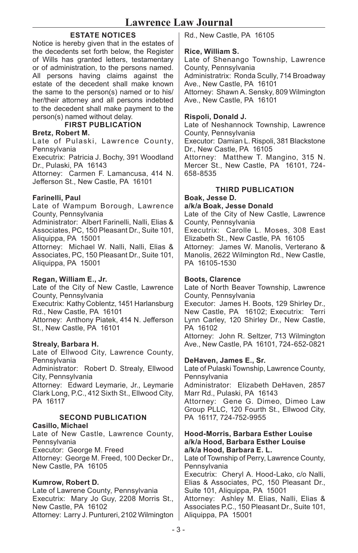# **ESTATE NOTICES**

Notice is hereby given that in the estates of the decedents set forth below, the Register of Wills has granted letters, testamentary or of administration, to the persons named. All persons having claims against the estate of the decedent shall make known the same to the person(s) named or to his/ her/their attorney and all persons indebted to the decedent shall make payment to the person(s) named without delay.

**FIRST PUBLICATION**

#### **Bretz, Robert M.**

Late of Pulaski, Lawrence County, **Pennsylvania** 

Executrix: Patricia J. Bochy, 391 Woodland Dr., Pulaski, PA 16143

Attorney: Carmen F. Lamancusa, 414 N. Jefferson St., New Castle, PA 16101

#### **Farinelli, Paul**

Late of Wampum Borough, Lawrence County, Pennsylvania

Administrator: Albert Farinelli, Nalli, Elias & Associates, PC, 150 Pleasant Dr., Suite 101, Aliquippa, PA 15001

Attorney: Michael W. Nalli, Nalli, Elias & Associates, PC, 150 Pleasant Dr., Suite 101, Aliquippa, PA 15001

#### **Regan, William E., Jr.**

Late of the City of New Castle, Lawrence County, Pennsylvania Executrix: Kathy Coblentz, 1451 Harlansburg Rd., New Castle, PA 16101 Attorney: Anthony Piatek, 414 N. Jefferson St., New Castle, PA 16101

#### **Strealy, Barbara H.**

Late of Ellwood City, Lawrence County, Pennsylvania Administrator: Robert D. Strealy, Ellwood City, Pennsylvania Attorney: Edward Leymarie, Jr., Leymarie Clark Long, P.C., 412 Sixth St., Ellwood City, PA 16117

# **SECOND PUBLICATION**

**Casillo, Michael** Late of New Castle, Lawrence County, **Pennsylvania** Executor: George M. Freed Attorney: George M. Freed, 100 Decker Dr., New Castle, PA 16105

#### **Kumrow, Robert D.**

Late of Lawrene County, Pennsylvania Executrix: Mary Jo Guy, 2208 Morris St., New Castle, PA 16102 Attorney: Larry J. Puntureri, 2102 Wilmington Rd., New Castle, PA 16105

#### **Rice, William S.**

Late of Shenango Township, Lawrence County, Pennsylvania Administratrix: Ronda Scully, 714 Broadway Ave., New Castle, PA 16101 Attorney: Shawn A. Sensky, 809 Wilmington Ave., New Castle, PA 16101

#### **Rispoli, Donald J.**

Late of Neshannock Township, Lawrence County, Pennsylvania

Executor: Damian L. Rispoli, 381 Blackstone Dr., New Castle, PA 16105

Attorney: Matthew T. Mangino, 315 N. Mercer St., New Castle, PA 16101, 724-658-8535

#### **THIRD PUBLICATION**

**Boak, Jesse D. a/k/a Boak, Jesse Donald**

Late of the City of New Castle, Lawrence County, Pennsylvania

Executrix: Carolle L. Moses, 308 East Elizabeth St., New Castle, PA 16105

Attorney: James W. Manolis, Verterano & Manolis, 2622 Wilmington Rd., New Castle, PA 16105-1530

#### **Boots, Clarence**

Late of North Beaver Township, Lawrence County, Pennsylvania

Executor: James H. Boots, 129 Shirley Dr., New Castle, PA 16102; Executrix: Terri Lynn Carley, 120 Shirley Dr., New Castle, PA 16102

Attorney: John R. Seltzer, 713 Wilmington Ave., New Castle, PA 16101, 724-652-0821

#### **DeHaven, James E., Sr.**

Late of Pulaski Township, Lawrence County, Pennsylvania

Administrator: Elizabeth DeHaven, 2857 Marr Rd., Pulaski, PA 16143

Attorney: Gene G. Dimeo, Dimeo Law Group PLLC, 120 Fourth St., Ellwood City, PA 16117, 724-752-9955

#### **Hood-Morris, Barbara Esther Louise a/k/a Hood, Barbara Esther Louise a/k/a Hood, Barbara E. L.**

Late of Township of Perry, Lawrence County, **Pennsylvania** Executrix: Cheryl A. Hood-Lako, c/o Nalli, Elias & Associates, PC, 150 Pleasant Dr., Suite 101, Aliquippa, PA 15001 Attorney: Ashley M. Elias, Nalli, Elias & Associates P.C., 150 Pleasant Dr., Suite 101, Aliquippa, PA 15001